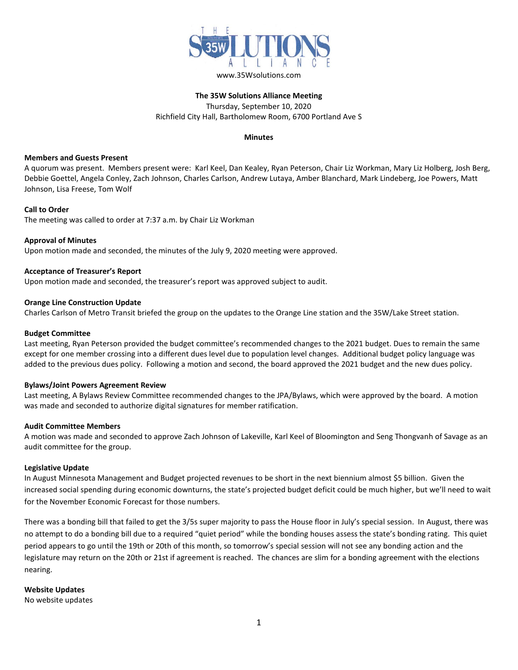

# **The 35W Solutions Alliance Meeting** Thursday, September 10, 2020 Richfield City Hall, Bartholomew Room, 6700 Portland Ave S

# **Minutes**

# **Members and Guests Present**

A quorum was present. Members present were: Karl Keel, Dan Kealey, Ryan Peterson, Chair Liz Workman, Mary Liz Holberg, Josh Berg, Debbie Goettel, Angela Conley, Zach Johnson, Charles Carlson, Andrew Lutaya, Amber Blanchard, Mark Lindeberg, Joe Powers, Matt Johnson, Lisa Freese, Tom Wolf

## **Call to Order**

The meeting was called to order at 7:37 a.m. by Chair Liz Workman

## **Approval of Minutes**

Upon motion made and seconded, the minutes of the July 9, 2020 meeting were approved.

## **Acceptance of Treasurer's Report**

Upon motion made and seconded, the treasurer's report was approved subject to audit.

## **Orange Line Construction Update**

Charles Carlson of Metro Transit briefed the group on the updates to the Orange Line station and the 35W/Lake Street station.

#### **Budget Committee**

Last meeting, Ryan Peterson provided the budget committee's recommended changes to the 2021 budget. Dues to remain the same except for one member crossing into a different dues level due to population level changes. Additional budget policy language was added to the previous dues policy. Following a motion and second, the board approved the 2021 budget and the new dues policy.

#### **Bylaws/Joint Powers Agreement Review**

Last meeting, A Bylaws Review Committee recommended changes to the JPA/Bylaws, which were approved by the board. A motion was made and seconded to authorize digital signatures for member ratification.

#### **Audit Committee Members**

A motion was made and seconded to approve Zach Johnson of Lakeville, Karl Keel of Bloomington and Seng Thongvanh of Savage as an audit committee for the group.

#### **Legislative Update**

In August Minnesota Management and Budget projected revenues to be short in the next biennium almost \$5 billion. Given the increased social spending during economic downturns, the state's projected budget deficit could be much higher, but we'll need to wait for the November Economic Forecast for those numbers.

There was a bonding bill that failed to get the 3/5s super majority to pass the House floor in July's special session. In August, there was no attempt to do a bonding bill due to a required "quiet period" while the bonding houses assess the state's bonding rating. This quiet period appears to go until the 19th or 20th of this month, so tomorrow's special session will not see any bonding action and the legislature may return on the 20th or 21st if agreement is reached. The chances are slim for a bonding agreement with the elections nearing.

**Website Updates**

No website updates